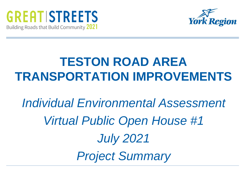



## **TESTON ROAD AREA TRANSPORTATION IMPROVEMENTS**

# *Individual Environmental Assessment Virtual Public Open House #1 July 2021 Project Summary*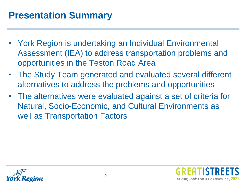#### **Presentation Summary**

- York Region is undertaking an Individual Environmental Assessment (IEA) to address transportation problems and opportunities in the Teston Road Area
- The Study Team generated and evaluated several different alternatives to address the problems and opportunities
- The alternatives were evaluated against a set of criteria for Natural, Socio-Economic, and Cultural Environments as well as Transportation Factors



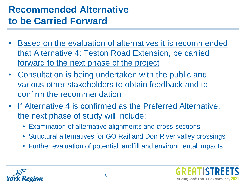### **Recommended Alternative to be Carried Forward**

- Based on the evaluation of alternatives it is recommended that Alternative 4: Teston Road Extension, be carried forward to the next phase of the project
- Consultation is being undertaken with the public and various other stakeholders to obtain feedback and to confirm the recommendation
- If Alternative 4 is confirmed as the Preferred Alternative, the next phase of study will include:
	- Examination of alternative alignments and cross-sections
	- Structural alternatives for GO Rail and Don River valley crossings
	- Further evaluation of potential landfill and environmental impacts



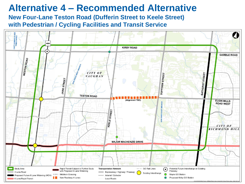#### **Alternative 4 – Recommended Alternative**

**New Four-Lane Teston Road (Dufferin Street to Keele Street) with Pedestrian / Cycling Facilities and Transit Service**

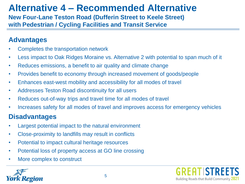## **Alternative 4 – Recommended Alternative**

**New Four-Lane Teston Road (Dufferin Street to Keele Street) with Pedestrian / Cycling Facilities and Transit Service**

#### **Advantages**

- Completes the transportation network
- Less impact to Oak Ridges Moraine vs. Alternative 2 with potential to span much of it
- Reduces emissions, a benefit to air quality and climate change
- Provides benefit to economy through increased movement of goods/people
- Enhances east-west mobility and accessibility for all modes of travel
- Addresses Teston Road discontinuity for all users
- Reduces out-of-way trips and travel time for all modes of travel
- Increases safety for all modes of travel and improves access for emergency vehicles

#### **Disadvantages**

- Largest potential impact to the natural environment
- Close-proximity to landfills may result in conflicts
- Potential to impact cultural heritage resources
- Potential loss of property access at GO line crossing
- More complex to construct